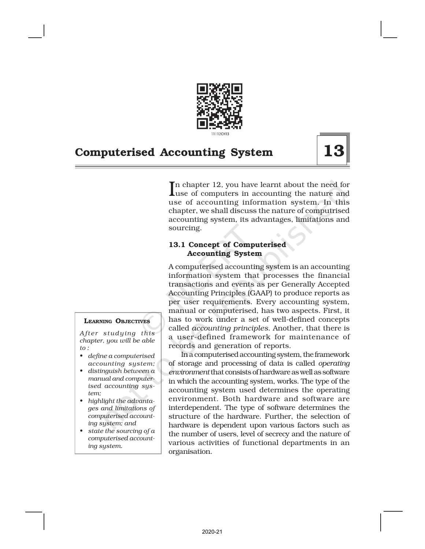

In chapter 12, you have learnt about the need for<br>Luse of computers in accounting the nature and n chapter 12, you have learnt about the need for use of accounting information system. In this chapter, we shall discuss the nature of computrised accounting system, its advantages, limitations and sourcing.

#### 13.1 Concept of Computerised Accounting System

A computerised accounting system is an accounting information system that processes the financial transactions and events as per Generally Accepted Accounting Principles (GAAP) to produce reports as per user requirements. Every accounting system, manual or computerised, has two aspects. First, it has to work under a set of well-defined concepts called *accounting principles*. Another, that there is a user-defined framework for maintenance of records and generation of reports.

In a computerised accounting system, the framework of storage and processing of data is called *operating environment* that consists of hardware as well as software in which the accounting system, works. The type of the accounting system used determines the operating environment. Both hardware and software are interdependent. The type of software determines the structure of the hardware. Further, the selection of hardware is dependent upon various factors such as the number of users, level of secrecy and the nature of various activities of functional departments in an organisation.

#### LEARNING OBJECTIVES

*After studying this chapter, you will be able to :*

- *• define a computerised accounting system;*
- *• distinguish between a manual and computerised accounting system;*
- *• highlight the advantages and limitations of computerised accounting system; and*
- *• state the sourcing of a computerised accounting system.*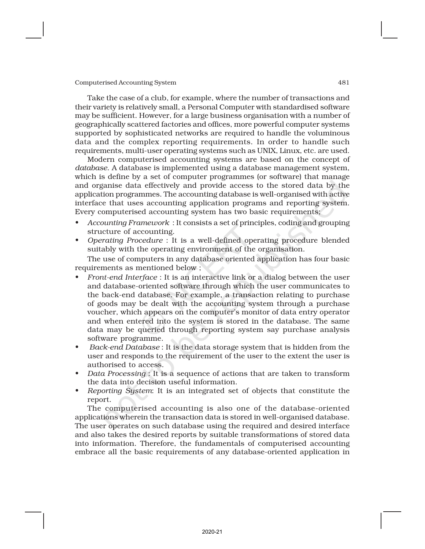Take the case of a club, for example, where the number of transactions and their variety is relatively small, a Personal Computer with standardised software may be sufficient. However, for a large business organisation with a number of geographically scattered factories and offices, more powerful computer systems supported by sophisticated networks are required to handle the voluminous data and the complex reporting requirements. In order to handle such requirements, multi-user operating systems such as UNIX, Linux, etc. are used.

Modern computerised accounting systems are based on the concept of *database*. A database is implemented using a database management system, which is define by a set of computer programmes (or software) that manage and organise data effectively and provide access to the stored data by the application programmes. The accounting database is well-organised with active interface that uses accounting application programs and reporting system. Every computerised accounting system has two basic requirements;

- *• Accounting Framework* : It consists a set of principles, coding and grouping structure of accounting.
- *• Operating Procedure* : It is a well-defined operating procedure blended suitably with the operating environment of the organisation.

The use of computers in any database oriented application has four basic requirements as mentioned below ;

- *• Front-end Interface* : It is an interactive link or a dialog between the user and database-oriented software through which the user communicates to the back-end database. For example, a transaction relating to purchase of goods may be dealt with the accounting system through a purchase voucher, which appears on the computer's monitor of data entry operator and when entered into the system is stored in the database. The same data may be queried through reporting system say purchase analysis software programme.
- *• Back-end Database* : It is the data storage system that is hidden from the user and responds to the requirement of the user to the extent the user is authorised to access.
- *• Data Processing* : It is a sequence of actions that are taken to transform the data into decision useful information.
- *• Reporting System*: It is an integrated set of objects that constitute the report.

The computerised accounting is also one of the database-oriented applications wherein the transaction data is stored in well-organised database. The user operates on such database using the required and desired interface and also takes the desired reports by suitable transformations of stored data into information. Therefore, the fundamentals of computerised accounting embrace all the basic requirements of any database-oriented application in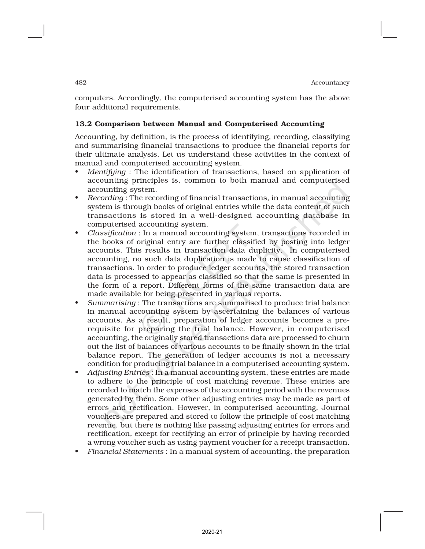computers. Accordingly, the computerised accounting system has the above four additional requirements.

#### 13.2 Comparison between Manual and Computerised Accounting

Accounting, by definition, is the process of identifying, recording, classifying and summarising financial transactions to produce the financial reports for their ultimate analysis. Let us understand these activities in the context of manual and computerised accounting system.

- *Identifying* : The identification of transactions, based on application of accounting principles is, common to both manual and computerised accounting system.
- *Recording* : The recording of financial transactions, in manual accounting system is through books of original entries while the data content of such transactions is stored in a well-designed accounting database in computerised accounting system.
- *Classification* : In a manual accounting system, transactions recorded in the books of original entry are further classified by posting into ledger accounts. This results in transaction data duplicity. In computerised accounting, no such data duplication is made to cause classification of transactions. In order to produce ledger accounts, the stored transaction data is processed to appear as classified so that the same is presented in the form of a report. Different forms of the same transaction data are made available for being presented in various reports.
- *Summarising* : The transactions are summarised to produce trial balance in manual accounting system by ascertaining the balances of various accounts. As a result, preparation of ledger accounts becomes a prerequisite for preparing the trial balance. However, in computerised accounting, the originally stored transactions data are processed to churn out the list of balances of various accounts to be finally shown in the trial balance report. The generation of ledger accounts is not a necessary condition for producing trial balance in a computerised accounting system.
- *Adjusting Entries* : In a manual accounting system, these entries are made to adhere to the principle of cost matching revenue. These entries are recorded to match the expenses of the accounting period with the revenues generated by them. Some other adjusting entries may be made as part of errors and rectification. However, in computerised accounting, Journal vouchers are prepared and stored to follow the principle of cost matching revenue, but there is nothing like passing adjusting entries for errors and rectification, except for rectifying an error of principle by having recorded a wrong voucher such as using payment voucher for a receipt transaction.
- *Financial Statements* : In a manual system of accounting, the preparation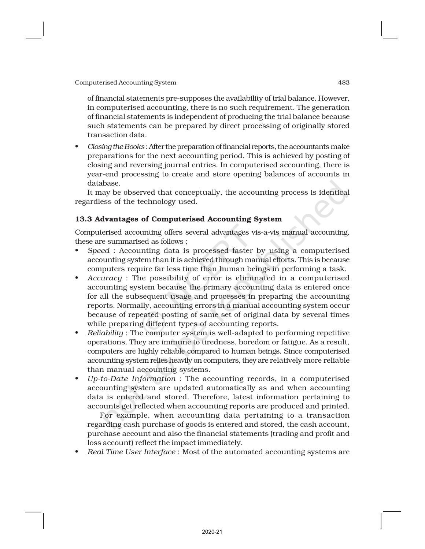of financial statements pre-supposes the availability of trial balance. However, in computerised accounting, there is no such requirement. The generation of financial statements is independent of producing the trial balance because such statements can be prepared by direct processing of originally stored transaction data.

• *Closing the Books* : After the preparation of financial reports, the accountants make preparations for the next accounting period. This is achieved by posting of closing and reversing journal entries. In computerised accounting, there is year-end processing to create and store opening balances of accounts in database.

It may be observed that conceptually, the accounting process is identical regardless of the technology used.

### 13.3 Advantages of Computerised Accounting System

Computerised accounting offers several advantages vis-a-vis manual accounting, these are summarised as follows ;

- *Speed* : Accounting data is processed faster by using a computerised accounting system than it is achieved through manual efforts. This is because computers require far less time than human beings in performing a task.
- *Accuracy* : The possibility of error is eliminated in a computerised accounting system because the primary accounting data is entered once for all the subsequent usage and processes in preparing the accounting reports. Normally, accounting errors in a manual accounting system occur because of repeated posting of same set of original data by several times while preparing different types of accounting reports.
- *Reliability* : The computer system is well-adapted to performing repetitive operations. They are immune to tiredness, boredom or fatigue. As a result, computers are highly reliable compared to human beings. Since computerised accounting system relies heavily on computers, they are relatively more reliable than manual accounting systems.
- *Up-to-Date Information* : The accounting records, in a computerised accounting system are updated automatically as and when accounting data is entered and stored. Therefore, latest information pertaining to accounts get reflected when accounting reports are produced and printed.

For example, when accounting data pertaining to a transaction regarding cash purchase of goods is entered and stored, the cash account, purchase account and also the financial statements (trading and profit and loss account) reflect the impact immediately.

• *Real Time User Interface* : Most of the automated accounting systems are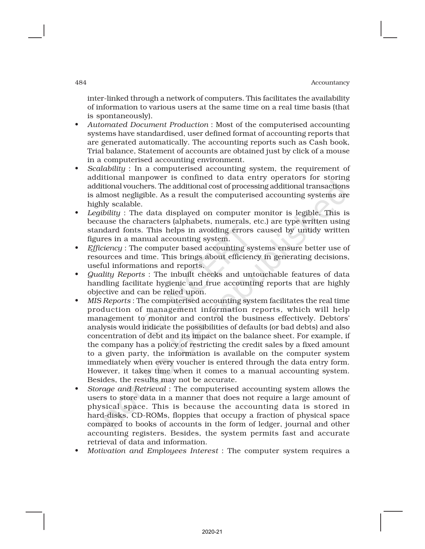inter-linked through a network of computers. This facilitates the availability of information to various users at the same time on a real time basis (that is spontaneously).

- *Automated Document Production* : Most of the computerised accounting systems have standardised, user defined format of accounting reports that are generated automatically. The accounting reports such as Cash book, Trial balance, Statement of accounts are obtained just by click of a mouse in a computerised accounting environment.
- *Scalability* : In a computerised accounting system, the requirement of additional manpower is confined to data entry operators for storing additional vouchers. The additional cost of processing additional transactions is almost negligible. As a result the computerised accounting systems are highly scalable.
- *Legibility* : The data displayed on computer monitor is legible. This is because the characters (alphabets, numerals, etc.) are type written using standard fonts. This helps in avoiding errors caused by untidy written figures in a manual accounting system.
- *Efficiency* : The computer based accounting systems ensure better use of resources and time. This brings about efficiency in generating decisions, useful informations and reports.
- *Quality Reports* : The inbuilt checks and untouchable features of data handling facilitate hygienic and true accounting reports that are highly objective and can be relied upon.
- *MIS Reports* : The computerised accounting system facilitates the real time production of management information reports, which will help management to monitor and control the business effectively. Debtors' analysis would indicate the possibilities of defaults (or bad debts) and also concentration of debt and its impact on the balance sheet. For example, if the company has a policy of restricting the credit sales by a fixed amount to a given party, the information is available on the computer system immediately when every voucher is entered through the data entry form. However, it takes time when it comes to a manual accounting system. Besides, the results may not be accurate.
- *Storage and Retrieval* : The computerised accounting system allows the users to store data in a manner that does not require a large amount of physical space. This is because the accounting data is stored in hard-disks, CD-ROMs, floppies that occupy a fraction of physical space compared to books of accounts in the form of ledger, journal and other accounting registers. Besides, the system permits fast and accurate retrieval of data and information.
- *Motivation and Employees Interest* : The computer system requires a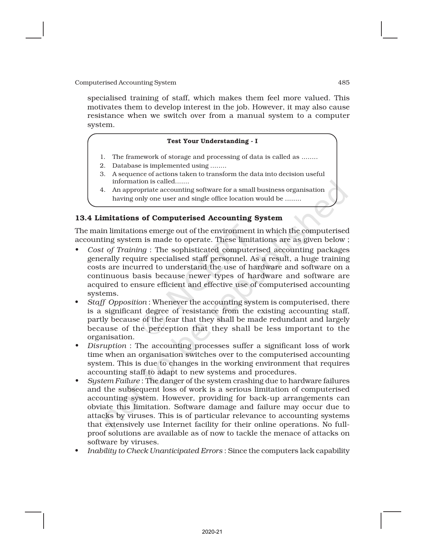specialised training of staff, which makes them feel more valued. This motivates them to develop interest in the job. However, it may also cause resistance when we switch over from a manual system to a computer system.

#### Test Your Understanding - I

- 1. The framework of storage and processing of data is called as ........
- 2. Database is implemented using ........
- 3. A sequence of actions taken to transform the data into decision useful information is called.......
- 4. An appropriate accounting software for a small business organisation having only one user and single office location would be ........

## 13.4 Limitations of Computerised Accounting System

The main limitations emerge out of the environment in which the computerised accounting system is made to operate. These limitations are as given below ;

- *• Cost of Training* : The sophisticated computerised accounting packages generally require specialised staff personnel. As a result, a huge training costs are incurred to understand the use of hardware and software on a continuous basis because newer types of hardware and software are acquired to ensure efficient and effective use of computerised accounting systems.
- *Staff Opposition* : Whenever the accounting system is computerised, there is a significant degree of resistance from the existing accounting staff, partly because of the fear that they shall be made redundant and largely because of the perception that they shall be less important to the organisation.
- *• Disruption* : The accounting processes suffer a significant loss of work time when an organisation switches over to the computerised accounting system. This is due to changes in the working environment that requires accounting staff to adapt to new systems and procedures.
- *• System Failure* : The danger of the system crashing due to hardware failures and the subsequent loss of work is a serious limitation of computerised accounting system. However, providing for back-up arrangements can obviate this limitation. Software damage and failure may occur due to attacks by viruses. This is of particular relevance to accounting systems that extensively use Internet facility for their online operations. No fullproof solutions are available as of now to tackle the menace of attacks on software by viruses.
- *Inability to Check Unanticipated Errors* : Since the computers lack capability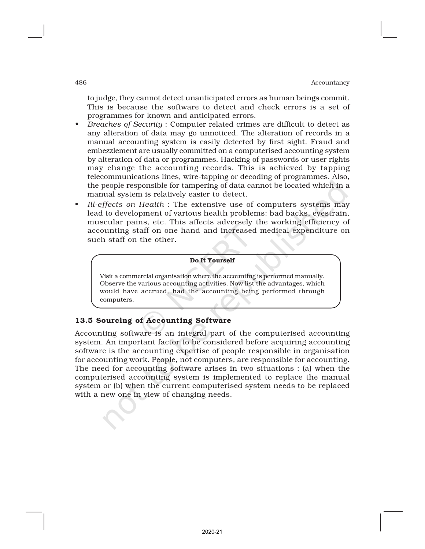to judge, they cannot detect unanticipated errors as human beings commit. This is because the software to detect and check errors is a set of programmes for known and anticipated errors.

- *• Breaches of Security* : Computer related crimes are difficult to detect as any alteration of data may go unnoticed. The alteration of records in a manual accounting system is easily detected by first sight. Fraud and embezzlement are usually committed on a computerised accounting system by alteration of data or programmes. Hacking of passwords or user rights may change the accounting records. This is achieved by tapping telecommunications lines, wire-tapping or decoding of programmes. Also, the people responsible for tampering of data cannot be located which in a manual system is relatively easier to detect.
- *Ill-effects on Health* : The extensive use of computers systems may lead to development of various health problems: bad backs, eyestrain, muscular pains, etc. This affects adversely the working efficiency of accounting staff on one hand and increased medical expenditure on such staff on the other.

#### Do It Yourself

Visit a commercial organisation where the accounting is performed manually. Observe the various accounting activities. Now list the advantages, which would have accrued, had the accounting being performed through computers.

#### 13.5 Sourcing of Accounting Software

Accounting software is an integral part of the computerised accounting system. An important factor to be considered before acquiring accounting software is the accounting expertise of people responsible in organisation for accounting work. People, not computers, are responsible for accounting. The need for accounting software arises in two situations : (a) when the computerised accounting system is implemented to replace the manual system or (b) when the current computerised system needs to be replaced with a new one in view of changing needs.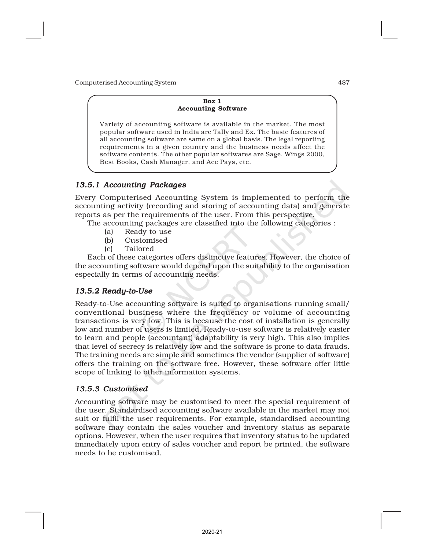#### Box 1 Accounting Software

Variety of accounting software is available in the market. The most popular software used in India are Tally and Ex. The basic features of all accounting software are same on a global basis. The legal reporting requirements in a given country and the business needs affect the software contents. The other popular softwares are Sage, Wings 2000, Best Books, Cash Manager, and Ace Pays, etc.

## *13.5.1 Accounting Packages*

Every Computerised Accounting System is implemented to perform the accounting activity (recording and storing of accounting data) and generate reports as per the requirements of the user. From this perspective.

The accounting packages are classified into the following categories :

- (a) Ready to use
- (b) Customised
- (c) Tailored

Each of these categories offers distinctive features. However, the choice of the accounting software would depend upon the suitability to the organisation especially in terms of accounting needs.

#### *13.5.2 Ready-to-Use*

Ready-to-Use accounting software is suited to organisations running small/ conventional business where the frequency or volume of accounting transactions is very low. This is because the cost of installation is generally low and number of users is limited. Ready-to-use software is relatively easier to learn and people (accountant) adaptability is very high. This also implies that level of secrecy is relatively low and the software is prone to data frauds. The training needs are simple and sometimes the vendor (supplier of software) offers the training on the software free. However, these software offer little scope of linking to other information systems.

#### *13.5.3 Customised*

Accounting software may be customised to meet the special requirement of the user. Standardised accounting software available in the market may not suit or fulfil the user requirements. For example, standardised accounting software may contain the sales voucher and inventory status as separate options. However, when the user requires that inventory status to be updated immediately upon entry of sales voucher and report be printed, the software needs to be customised.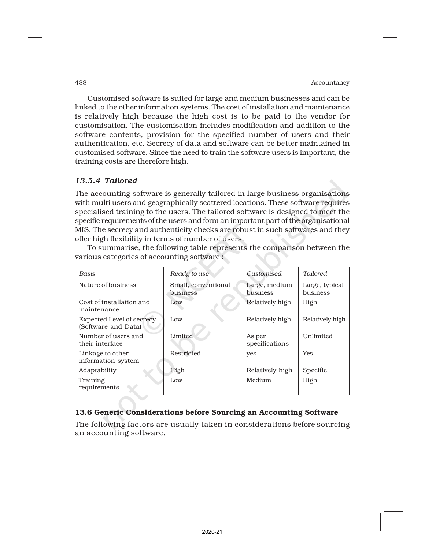#### 488 Accountancy

Customised software is suited for large and medium businesses and can be linked to the other information systems. The cost of installation and maintenance is relatively high because the high cost is to be paid to the vendor for customisation. The customisation includes modification and addition to the software contents, provision for the specified number of users and their authentication, etc. Secrecy of data and software can be better maintained in customised software. Since the need to train the software users is important, the training costs are therefore high.

## *13.5.4 Tailored*

The accounting software is generally tailored in large business organisations with multi users and geographically scattered locations. These software requires specialised training to the users. The tailored software is designed to meet the specific requirements of the users and form an important part of the organisational MIS. The secrecy and authenticity checks are robust in such softwares and they offer high flexibility in terms of number of users.

To summarise, the following table represents the comparison between the various categories of accounting software :

| <b>Basis</b>                                            | Ready to use                    | Customised                | Tailored                   |
|---------------------------------------------------------|---------------------------------|---------------------------|----------------------------|
| Nature of business                                      | Small, conventional<br>business | Large, medium<br>business | Large, typical<br>business |
| Cost of installation and<br>maintenance                 | Low                             | Relatively high           | High                       |
| <b>Expected Level of secrecy</b><br>(Software and Data) | Low                             | Relatively high           | Relatively high            |
| Number of users and<br>their interface                  | Limited                         | As per<br>specifications  | Unlimited                  |
| Linkage to other<br>information system                  | Restricted                      | yes                       | <b>Yes</b>                 |
| Adaptability                                            | High                            | Relatively high           | Specific                   |
| Training<br>requirements                                | Low                             | Medium                    | High                       |

#### 13.6 Generic Considerations before Sourcing an Accounting Software

The following factors are usually taken in considerations before sourcing an accounting software.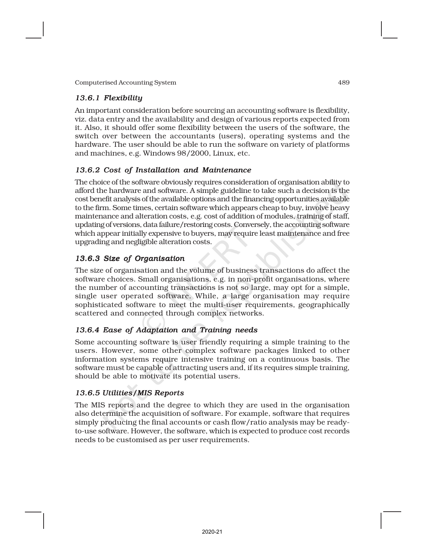### *13.6.1 Flexibility*

An important consideration before sourcing an accounting software is flexibility, viz. data entry and the availability and design of various reports expected from it. Also, it should offer some flexibility between the users of the software, the switch over between the accountants (users), operating systems and the hardware. The user should be able to run the software on variety of platforms and machines, e.g. Windows 98/2000, Linux, etc.

## *13.6.2 Cost of Installation and Maintenance*

The choice of the software obviously requires consideration of organisation ability to afford the hardware and software. A simple guideline to take such a decision is the cost benefit analysis of the available options and the financing opportunities available to the firm. Some times, certain software which appears cheap to buy, involve heavy maintenance and alteration costs, e.g. cost of addition of modules, training of staff, updating of versions, data failure/restoring costs. Conversely, the accounting software which appear initially expensive to buyers, may require least maintenance and free upgrading and negligible alteration costs.

## *13.6.3 Size of Organisation*

The size of organisation and the volume of business transactions do affect the software choices. Small organisations, e.g. in non-profit organisations, where the number of accounting transactions is not so large, may opt for a simple, single user operated software. While, a large organisation may require sophisticated software to meet the multi-user requirements, geographically scattered and connected through complex networks.

## *13.6.4 Ease of Adaptation and Training needs*

Some accounting software is user friendly requiring a simple training to the users. However, some other complex software packages linked to other information systems require intensive training on a continuous basis. The software must be capable of attracting users and, if its requires simple training, should be able to motivate its potential users.

## *13.6.5 Utilities/MIS Reports*

The MIS reports and the degree to which they are used in the organisation also determine the acquisition of software. For example, software that requires simply producing the final accounts or cash flow/ratio analysis may be readyto-use software. However, the software, which is expected to produce cost records needs to be customised as per user requirements.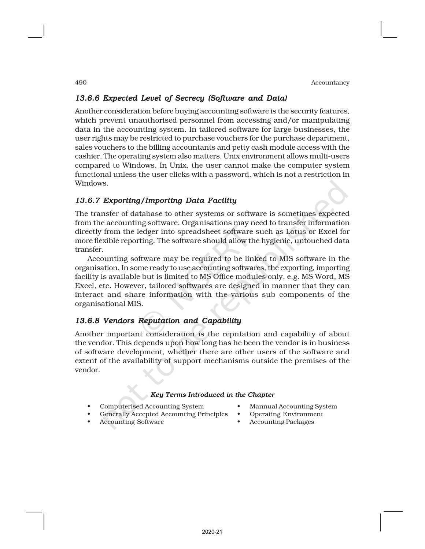490 Accountancy

## *13.6.6 Expected Level of Secrecy (Software and Data)*

Another consideration before buying accounting software is the security features, which prevent unauthorised personnel from accessing and/or manipulating data in the accounting system. In tailored software for large businesses, the user rights may be restricted to purchase vouchers for the purchase department, sales vouchers to the billing accountants and petty cash module access with the cashier. The operating system also matters. Unix environment allows multi-users compared to Windows. In Unix, the user cannot make the computer system functional unless the user clicks with a password, which is not a restriction in Windows.

## *13.6.7 Exporting/Importing Data Facility*

The transfer of database to other systems or software is sometimes expected from the accounting software. Organisations may need to transfer information directly from the ledger into spreadsheet software such as Lotus or Excel for more flexible reporting. The software should allow the hygienic, untouched data transfer.

Accounting software may be required to be linked to MIS software in the organisation. In some ready to use accounting softwares, the exporting, importing facility is available but is limited to MS Office modules only, e.g. MS Word, MS Excel, etc. However, tailored softwares are designed in manner that they can interact and share information with the various sub components of the organisational MIS.

## *13.6.8 Vendors Reputation and Capability*

Another important consideration is the reputation and capability of about the vendor. This depends upon how long has he been the vendor is in business of software development, whether there are other users of the software and extent of the availability of support mechanisms outside the premises of the vendor.

#### *Key Terms Introduced in the Chapter*

- Computerised Accounting System Mannual Accounting System
- Generally Accepted Accounting Principles Operating Environment
- 
- 
- 
- Accounting Software Accounting Packages